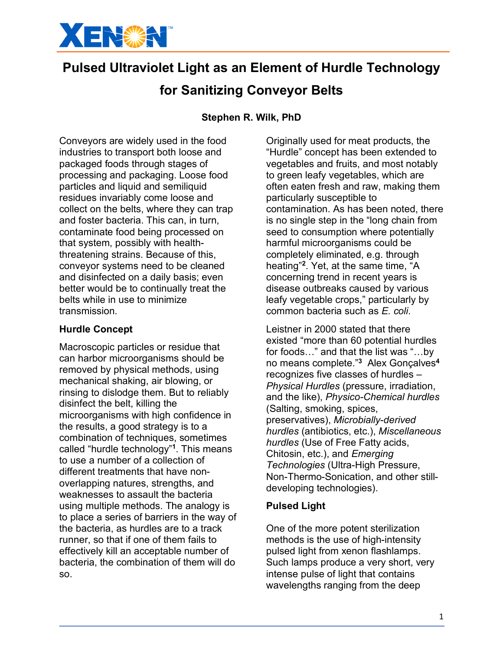

# **Pulsed Ultraviolet Light as an Element of Hurdle Technology**

## **for Sanitizing Conveyor Belts**

### **Stephen R. Wilk, PhD**

Conveyors are widely used in the food industries to transport both loose and packaged foods through stages of processing and packaging. Loose food particles and liquid and semiliquid residues invariably come loose and collect on the belts, where they can trap and foster bacteria. This can, in turn, contaminate food being processed on that system, possibly with healththreatening strains. Because of this, conveyor systems need to be cleaned and disinfected on a daily basis; even better would be to continually treat the belts while in use to minimize transmission.

#### **Hurdle Concept**

Macroscopic particles or residue that can harbor microorganisms should be removed by physical methods, using mechanical shaking, air blowing, or rinsing to dislodge them. But to reliably disinfect the belt, killing the microorganisms with high confidence in the results, a good strategy is to a combination of techniques, sometimes called "hurdle technology"**<sup>1</sup>**. This means to use a number of a collection of different treatments that have nonoverlapping natures, strengths, and weaknesses to assault the bacteria using multiple methods. The analogy is to place a series of barriers in the way of the bacteria, as hurdles are to a track runner, so that if one of them fails to effectively kill an acceptable number of bacteria, the combination of them will do so.

Originally used for meat products, the "Hurdle" concept has been extended to vegetables and fruits, and most notably to green leafy vegetables, which are often eaten fresh and raw, making them particularly susceptible to contamination. As has been noted, there is no single step in the "long chain from seed to consumption where potentially harmful microorganisms could be completely eliminated, e.g. through heating" **<sup>2</sup>**. Yet, at the same time, "A concerning trend in recent years is disease outbreaks caused by various leafy vegetable crops," particularly by common bacteria such as *E. coli*.

Leistner in 2000 stated that there existed "more than 60 potential hurdles for foods…" and that the list was "…by no means complete."**<sup>3</sup>** Alex Gonçalves**<sup>4</sup>** recognizes five classes of hurdles – *Physical Hurdles* (pressure, irradiation, and the like), *Physico-Chemical hurdles* (Salting, smoking, spices, preservatives), *Microbially-derived hurdles* (antibiotics, etc.), *Miscellaneous hurdles* (Use of Free Fatty acids, Chitosin, etc.), and *Emerging Technologies* (Ultra-High Pressure, Non-Thermo-Sonication, and other stilldeveloping technologies).

#### **Pulsed Light**

One of the more potent sterilization methods is the use of high-intensity pulsed light from xenon flashlamps. Such lamps produce a very short, very intense pulse of light that contains wavelengths ranging from the deep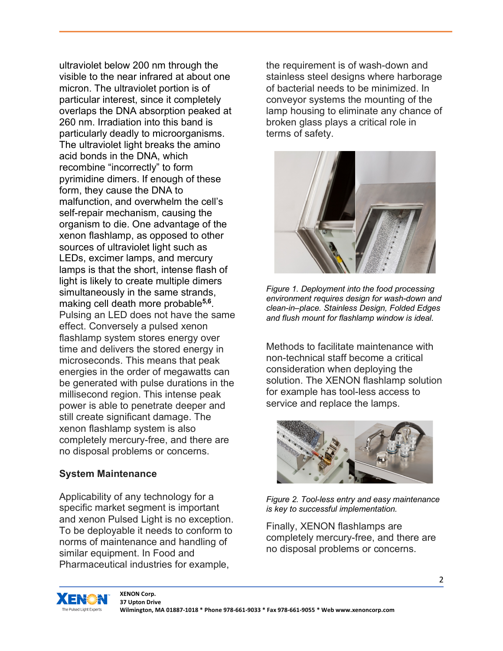ultraviolet below 200 nm through the visible to the near infrared at about one micron. The ultraviolet portion is of particular interest, since it completely overlaps the DNA absorption peaked at 260 nm. Irradiation into this band is particularly deadly to microorganisms. The ultraviolet light breaks the amino acid bonds in the DNA, which recombine "incorrectly" to form pyrimidine dimers. If enough of these form, they cause the DNA to malfunction, and overwhelm the cell's self-repair mechanism, causing the organism to die. One advantage of the xenon flashlamp, as opposed to other sources of ultraviolet light such as LEDs, excimer lamps, and mercury lamps is that the short, intense flash of light is likely to create multiple dimers simultaneously in the same strands, making cell death more probable**5,6**. Pulsing an LED does not have the same effect. Conversely a pulsed xenon flashlamp system stores energy over time and delivers the stored energy in microseconds. This means that peak energies in the order of megawatts can be generated with pulse durations in the millisecond region. This intense peak power is able to penetrate deeper and still create significant damage. The xenon flashlamp system is also completely mercury-free, and there are no disposal problems or concerns.

#### **System Maintenance**

Applicability of any technology for a specific market segment is important and xenon Pulsed Light is no exception. To be deployable it needs to conform to norms of maintenance and handling of similar equipment. In Food and Pharmaceutical industries for example,

the requirement is of wash-down and stainless steel designs where harborage of bacterial needs to be minimized. In conveyor systems the mounting of the lamp housing to eliminate any chance of broken glass plays a critical role in terms of safety.



*Figure 1. Deployment into the food processing environment requires design for wash-down and clean-in–place. Stainless Design, Folded Edges and flush mount for flashlamp window is ideal.*

Methods to facilitate maintenance with non-technical staff become a critical consideration when deploying the solution. The XENON flashlamp solution for example has tool-less access to service and replace the lamps.



*Figure 2. Tool-less entry and easy maintenance is key to successful implementation.*

Finally, XENON flashlamps are completely mercury-free, and there are no disposal problems or concerns.

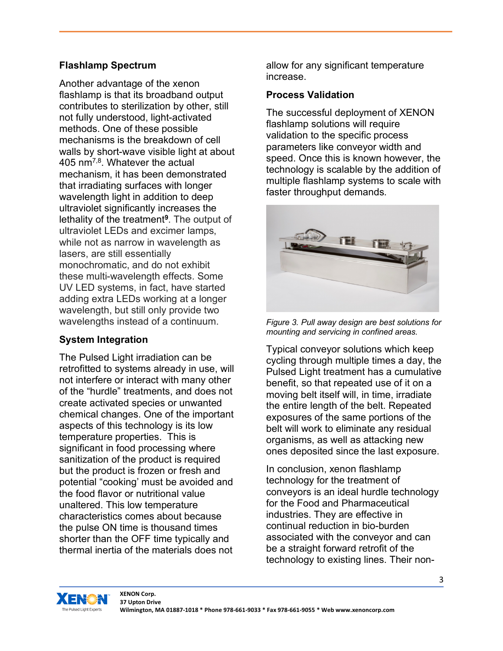### **Flashlamp Spectrum**

Another advantage of the xenon flashlamp is that its broadband output contributes to sterilization by other, still not fully understood, light-activated methods. One of these possible mechanisms is the breakdown of cell walls by short-wave visible light at about 405 nm7,8. Whatever the actual mechanism, it has been demonstrated that irradiating surfaces with longer wavelength light in addition to deep ultraviolet significantly increases the lethality of the treatment**<sup>9</sup>**. The output of ultraviolet LEDs and excimer lamps, while not as narrow in wavelength as lasers, are still essentially monochromatic, and do not exhibit these multi-wavelength effects. Some UV LED systems, in fact, have started adding extra LEDs working at a longer wavelength, but still only provide two wavelengths instead of a continuum.

## **System Integration**

The Pulsed Light irradiation can be retrofitted to systems already in use, will not interfere or interact with many other of the "hurdle" treatments, and does not create activated species or unwanted chemical changes. One of the important aspects of this technology is its low temperature properties. This is significant in food processing where sanitization of the product is required but the product is frozen or fresh and potential "cooking' must be avoided and the food flavor or nutritional value unaltered. This low temperature characteristics comes about because the pulse ON time is thousand times shorter than the OFF time typically and thermal inertia of the materials does not

allow for any significant temperature increase.

#### **Process Validation**

The successful deployment of XENON flashlamp solutions will require validation to the specific process parameters like conveyor width and speed. Once this is known however, the technology is scalable by the addition of multiple flashlamp systems to scale with faster throughput demands.



*Figure 3. Pull away design are best solutions for mounting and servicing in confined areas.*

Typical conveyor solutions which keep cycling through multiple times a day, the Pulsed Light treatment has a cumulative benefit, so that repeated use of it on a moving belt itself will, in time, irradiate the entire length of the belt. Repeated exposures of the same portions of the belt will work to eliminate any residual organisms, as well as attacking new ones deposited since the last exposure.

In conclusion, xenon flashlamp technology for the treatment of conveyors is an ideal hurdle technology for the Food and Pharmaceutical industries. They are effective in continual reduction in bio-burden associated with the conveyor and can be a straight forward retrofit of the technology to existing lines. Their non-